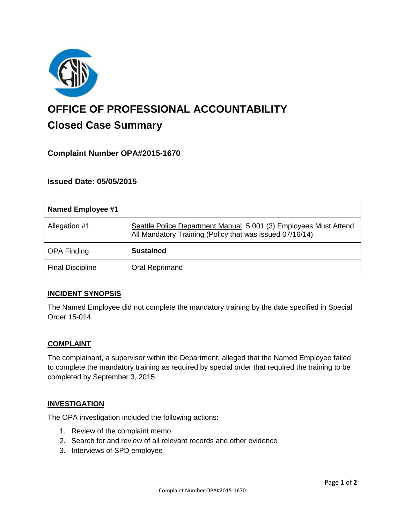

# **OFFICE OF PROFESSIONAL ACCOUNTABILITY Closed Case Summary**

# **Complaint Number OPA#2015-1670**

## **Issued Date: 05/05/2015**

| <b>Named Employee #1</b> |                                                                                                                              |
|--------------------------|------------------------------------------------------------------------------------------------------------------------------|
| Allegation #1            | Seattle Police Department Manual 5.001 (3) Employees Must Attend<br>All Mandatory Training (Policy that was issued 07/16/14) |
| <b>OPA Finding</b>       | <b>Sustained</b>                                                                                                             |
| <b>Final Discipline</b>  | Oral Reprimand                                                                                                               |

## **INCIDENT SYNOPSIS**

The Named Employee did not complete the mandatory training by the date specified in Special Order 15-014.

#### **COMPLAINT**

The complainant, a supervisor within the Department, alleged that the Named Employee failed to complete the mandatory training as required by special order that required the training to be completed by September 3, 2015.

#### **INVESTIGATION**

The OPA investigation included the following actions:

- 1. Review of the complaint memo
- 2. Search for and review of all relevant records and other evidence
- 3. Interviews of SPD employee